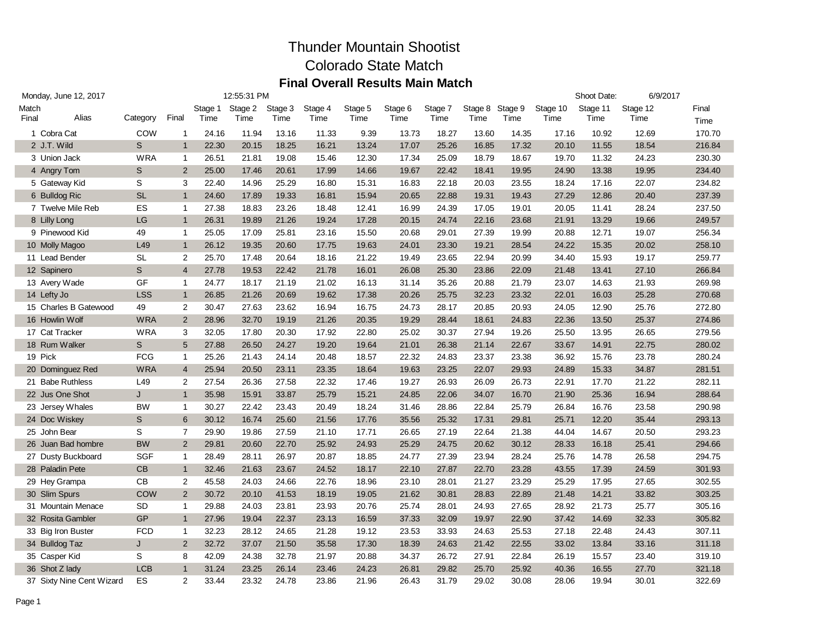| Monday, June 12, 2017 |                           |            |                |         | 12:55:31 PM |         |         |         |         |         |         |         |          | Shoot Date: | 6/9/2017 |        |
|-----------------------|---------------------------|------------|----------------|---------|-------------|---------|---------|---------|---------|---------|---------|---------|----------|-------------|----------|--------|
| Match                 |                           |            |                | Stage 1 | Stage 2     | Stage 3 | Stage 4 | Stage 5 | Stage 6 | Stage 7 | Stage 8 | Stage 9 | Stage 10 | Stage 11    | Stage 12 | Final  |
| Final                 | Alias                     | Category   | Final          | Time    | Time        | Time    | Time    | Time    | Time    | Time    | Time    | Time    | Time     | Time        | Time     | Time   |
|                       | 1 Cobra Cat               | COW        | $\mathbf{1}$   | 24.16   | 11.94       | 13.16   | 11.33   | 9.39    | 13.73   | 18.27   | 13.60   | 14.35   | 17.16    | 10.92       | 12.69    | 170.70 |
|                       | 2 J.T. Wild               | S          | $\mathbf{1}$   | 22.30   | 20.15       | 18.25   | 16.21   | 13.24   | 17.07   | 25.26   | 16.85   | 17.32   | 20.10    | 11.55       | 18.54    | 216.84 |
|                       | 3 Union Jack              | <b>WRA</b> | $\mathbf{1}$   | 26.51   | 21.81       | 19.08   | 15.46   | 12.30   | 17.34   | 25.09   | 18.79   | 18.67   | 19.70    | 11.32       | 24.23    | 230.30 |
|                       | 4 Angry Tom               | S          | 2              | 25.00   | 17.46       | 20.61   | 17.99   | 14.66   | 19.67   | 22.42   | 18.41   | 19.95   | 24.90    | 13.38       | 19.95    | 234.40 |
|                       | 5 Gateway Kid             | S          | 3              | 22.40   | 14.96       | 25.29   | 16.80   | 15.31   | 16.83   | 22.18   | 20.03   | 23.55   | 18.24    | 17.16       | 22.07    | 234.82 |
|                       | 6 Bulldog Ric             | <b>SL</b>  | $\mathbf{1}$   | 24.60   | 17.89       | 19.33   | 16.81   | 15.94   | 20.65   | 22.88   | 19.31   | 19.43   | 27.29    | 12.86       | 20.40    | 237.39 |
|                       | 7 Twelve Mile Reb         | ES         | $\mathbf{1}$   | 27.38   | 18.83       | 23.26   | 18.48   | 12.41   | 16.99   | 24.39   | 17.05   | 19.01   | 20.05    | 11.41       | 28.24    | 237.50 |
|                       | 8 Lilly Long              | LG         | $\mathbf{1}$   | 26.31   | 19.89       | 21.26   | 19.24   | 17.28   | 20.15   | 24.74   | 22.16   | 23.68   | 21.91    | 13.29       | 19.66    | 249.57 |
|                       | 9 Pinewood Kid            | 49         | $\mathbf{1}$   | 25.05   | 17.09       | 25.81   | 23.16   | 15.50   | 20.68   | 29.01   | 27.39   | 19.99   | 20.88    | 12.71       | 19.07    | 256.34 |
|                       | 10 Molly Magoo            | L49        | $\mathbf{1}$   | 26.12   | 19.35       | 20.60   | 17.75   | 19.63   | 24.01   | 23.30   | 19.21   | 28.54   | 24.22    | 15.35       | 20.02    | 258.10 |
|                       | 11 Lead Bender            | <b>SL</b>  | 2              | 25.70   | 17.48       | 20.64   | 18.16   | 21.22   | 19.49   | 23.65   | 22.94   | 20.99   | 34.40    | 15.93       | 19.17    | 259.77 |
|                       | 12 Sapinero               | S          | $\overline{4}$ | 27.78   | 19.53       | 22.42   | 21.78   | 16.01   | 26.08   | 25.30   | 23.86   | 22.09   | 21.48    | 13.41       | 27.10    | 266.84 |
|                       | 13 Avery Wade             | GF         | $\mathbf{1}$   | 24.77   | 18.17       | 21.19   | 21.02   | 16.13   | 31.14   | 35.26   | 20.88   | 21.79   | 23.07    | 14.63       | 21.93    | 269.98 |
|                       | 14 Lefty Jo               | <b>LSS</b> | $\mathbf{1}$   | 26.85   | 21.26       | 20.69   | 19.62   | 17.38   | 20.26   | 25.75   | 32.23   | 23.32   | 22.01    | 16.03       | 25.28    | 270.68 |
|                       | 15 Charles B Gatewood     | 49         | $\overline{2}$ | 30.47   | 27.63       | 23.62   | 16.94   | 16.75   | 24.73   | 28.17   | 20.85   | 20.93   | 24.05    | 12.90       | 25.76    | 272.80 |
|                       | 16 Howlin Wolf            | <b>WRA</b> | 2              | 28.96   | 32.70       | 19.19   | 21.26   | 20.35   | 19.29   | 28.44   | 18.61   | 24.83   | 22.36    | 13.50       | 25.37    | 274.86 |
|                       | 17 Cat Tracker            | <b>WRA</b> | 3              | 32.05   | 17.80       | 20.30   | 17.92   | 22.80   | 25.02   | 30.37   | 27.94   | 19.26   | 25.50    | 13.95       | 26.65    | 279.56 |
|                       | 18 Rum Walker             | S          | 5              | 27.88   | 26.50       | 24.27   | 19.20   | 19.64   | 21.01   | 26.38   | 21.14   | 22.67   | 33.67    | 14.91       | 22.75    | 280.02 |
| 19 Pick               |                           | <b>FCG</b> | $\mathbf{1}$   | 25.26   | 21.43       | 24.14   | 20.48   | 18.57   | 22.32   | 24.83   | 23.37   | 23.38   | 36.92    | 15.76       | 23.78    | 280.24 |
|                       | 20 Dominguez Red          | <b>WRA</b> | $\overline{4}$ | 25.94   | 20.50       | 23.11   | 23.35   | 18.64   | 19.63   | 23.25   | 22.07   | 29.93   | 24.89    | 15.33       | 34.87    | 281.51 |
|                       | 21 Babe Ruthless          | L49        | 2              | 27.54   | 26.36       | 27.58   | 22.32   | 17.46   | 19.27   | 26.93   | 26.09   | 26.73   | 22.91    | 17.70       | 21.22    | 282.11 |
|                       | 22 Jus One Shot           | J          | $\mathbf{1}$   | 35.98   | 15.91       | 33.87   | 25.79   | 15.21   | 24.85   | 22.06   | 34.07   | 16.70   | 21.90    | 25.36       | 16.94    | 288.64 |
|                       | 23 Jersey Whales          | <b>BW</b>  | $\mathbf{1}$   | 30.27   | 22.42       | 23.43   | 20.49   | 18.24   | 31.46   | 28.86   | 22.84   | 25.79   | 26.84    | 16.76       | 23.58    | 290.98 |
|                       | 24 Doc Wiskey             | S          | 6              | 30.12   | 16.74       | 25.60   | 21.56   | 17.76   | 35.56   | 25.32   | 17.31   | 29.81   | 25.71    | 12.20       | 35.44    | 293.13 |
|                       | 25 John Bear              | S          | $\overline{7}$ | 29.90   | 19.86       | 27.59   | 21.10   | 17.71   | 26.65   | 27.19   | 22.64   | 21.38   | 44.04    | 14.67       | 20.50    | 293.23 |
|                       | 26 Juan Bad hombre        | <b>BW</b>  | 2              | 29.81   | 20.60       | 22.70   | 25.92   | 24.93   | 25.29   | 24.75   | 20.62   | 30.12   | 28.33    | 16.18       | 25.41    | 294.66 |
|                       | 27 Dusty Buckboard        | <b>SGF</b> | $\mathbf{1}$   | 28.49   | 28.11       | 26.97   | 20.87   | 18.85   | 24.77   | 27.39   | 23.94   | 28.24   | 25.76    | 14.78       | 26.58    | 294.75 |
|                       | 28 Paladin Pete           | CB         | $\mathbf{1}$   | 32.46   | 21.63       | 23.67   | 24.52   | 18.17   | 22.10   | 27.87   | 22.70   | 23.28   | 43.55    | 17.39       | 24.59    | 301.93 |
|                       | 29 Hey Grampa             | CB         | $\overline{2}$ | 45.58   | 24.03       | 24.66   | 22.76   | 18.96   | 23.10   | 28.01   | 21.27   | 23.29   | 25.29    | 17.95       | 27.65    | 302.55 |
|                       | 30 Slim Spurs             | COW        | 2              | 30.72   | 20.10       | 41.53   | 18.19   | 19.05   | 21.62   | 30.81   | 28.83   | 22.89   | 21.48    | 14.21       | 33.82    | 303.25 |
|                       | 31 Mountain Menace        | SD         | $\mathbf{1}$   | 29.88   | 24.03       | 23.81   | 23.93   | 20.76   | 25.74   | 28.01   | 24.93   | 27.65   | 28.92    | 21.73       | 25.77    | 305.16 |
|                       | 32 Rosita Gambler         | GP         | $\mathbf{1}$   | 27.96   | 19.04       | 22.37   | 23.13   | 16.59   | 37.33   | 32.09   | 19.97   | 22.90   | 37.42    | 14.69       | 32.33    | 305.82 |
|                       | 33 Big Iron Buster        | <b>FCD</b> | $\mathbf{1}$   | 32.23   | 28.12       | 24.65   | 21.28   | 19.12   | 23.53   | 33.93   | 24.63   | 25.53   | 27.18    | 22.48       | 24.43    | 307.11 |
|                       | 34 Bulldog Taz            | J          | $\overline{2}$ | 32.72   | 37.07       | 21.50   | 35.58   | 17.30   | 18.39   | 24.63   | 21.42   | 22.55   | 33.02    | 13.84       | 33.16    | 311.18 |
|                       | 35 Casper Kid             | S          | 8              | 42.09   | 24.38       | 32.78   | 21.97   | 20.88   | 34.37   | 26.72   | 27.91   | 22.84   | 26.19    | 15.57       | 23.40    | 319.10 |
|                       | 36 Shot Z lady            | <b>LCB</b> | $\mathbf{1}$   | 31.24   | 23.25       | 26.14   | 23.46   | 24.23   | 26.81   | 29.82   | 25.70   | 25.92   | 40.36    | 16.55       | 27.70    | 321.18 |
|                       | 37 Sixty Nine Cent Wizard | <b>ES</b>  | 2              | 33.44   | 23.32       | 24.78   | 23.86   | 21.96   | 26.43   | 31.79   | 29.02   | 30.08   | 28.06    | 19.94       | 30.01    | 322.69 |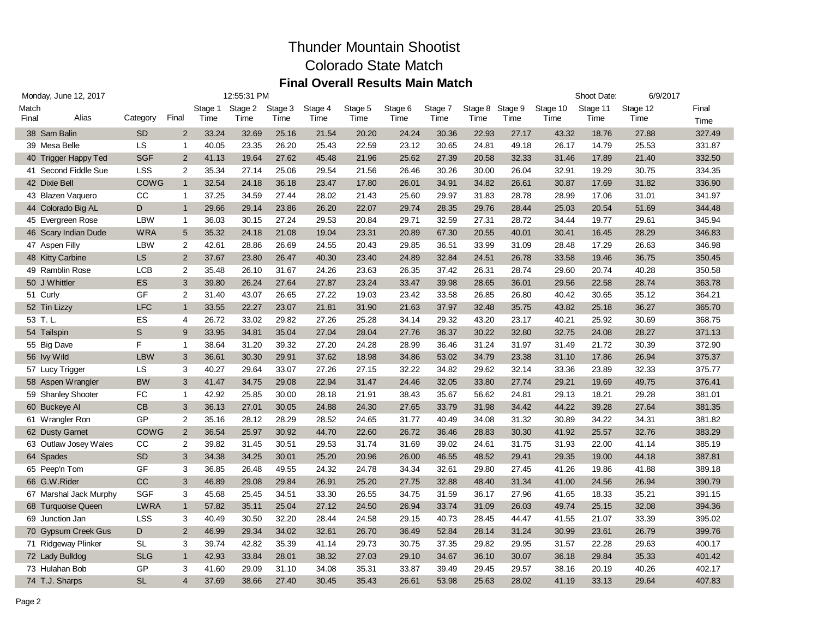| Monday, June 12, 2017 |                        |             |                |         | 12:55:31 PM |         |         |         |         |         |         |         |          | Shoot Date: | 6/9/2017 |        |
|-----------------------|------------------------|-------------|----------------|---------|-------------|---------|---------|---------|---------|---------|---------|---------|----------|-------------|----------|--------|
| Match                 |                        |             |                | Stage 1 | Stage 2     | Stage 3 | Stage 4 | Stage 5 | Stage 6 | Stage 7 | Stage 8 | Stage 9 | Stage 10 | Stage 11    | Stage 12 | Final  |
| Final                 | Alias                  | Category    | Final          | Time    | Time        | Time    | Time    | Time    | Time    | Time    | Time    | Time    | Time     | Time        | Time     | Time   |
|                       | 38 Sam Balin           | <b>SD</b>   | $\overline{2}$ | 33.24   | 32.69       | 25.16   | 21.54   | 20.20   | 24.24   | 30.36   | 22.93   | 27.17   | 43.32    | 18.76       | 27.88    | 327.49 |
|                       | 39 Mesa Belle          | <b>LS</b>   | $\mathbf{1}$   | 40.05   | 23.35       | 26.20   | 25.43   | 22.59   | 23.12   | 30.65   | 24.81   | 49.18   | 26.17    | 14.79       | 25.53    | 331.87 |
|                       | 40 Trigger Happy Ted   | <b>SGF</b>  | $\overline{2}$ | 41.13   | 19.64       | 27.62   | 45.48   | 21.96   | 25.62   | 27.39   | 20.58   | 32.33   | 31.46    | 17.89       | 21.40    | 332.50 |
|                       | 41 Second Fiddle Sue   | <b>LSS</b>  | 2              | 35.34   | 27.14       | 25.06   | 29.54   | 21.56   | 26.46   | 30.26   | 30.00   | 26.04   | 32.91    | 19.29       | 30.75    | 334.35 |
|                       | 42 Dixie Bell          | <b>COWG</b> | $\mathbf{1}$   | 32.54   | 24.18       | 36.18   | 23.47   | 17.80   | 26.01   | 34.91   | 34.82   | 26.61   | 30.87    | 17.69       | 31.82    | 336.90 |
|                       | 43 Blazen Vaquero      | CC          | $\mathbf{1}$   | 37.25   | 34.59       | 27.44   | 28.02   | 21.43   | 25.60   | 29.97   | 31.83   | 28.78   | 28.99    | 17.06       | 31.01    | 341.97 |
|                       | 44 Colorado Big AL     | D           | $\mathbf{1}$   | 29.66   | 29.14       | 23.86   | 26.20   | 22.07   | 29.74   | 28.35   | 29.76   | 28.44   | 25.03    | 20.54       | 51.69    | 344.48 |
|                       | 45 Evergreen Rose      | <b>LBW</b>  | $\mathbf{1}$   | 36.03   | 30.15       | 27.24   | 29.53   | 20.84   | 29.71   | 32.59   | 27.31   | 28.72   | 34.44    | 19.77       | 29.61    | 345.94 |
|                       | 46 Scary Indian Dude   | <b>WRA</b>  | 5              | 35.32   | 24.18       | 21.08   | 19.04   | 23.31   | 20.89   | 67.30   | 20.55   | 40.01   | 30.41    | 16.45       | 28.29    | 346.83 |
|                       | 47 Aspen Filly         | <b>LBW</b>  | $\overline{2}$ | 42.61   | 28.86       | 26.69   | 24.55   | 20.43   | 29.85   | 36.51   | 33.99   | 31.09   | 28.48    | 17.29       | 26.63    | 346.98 |
|                       | 48 Kitty Carbine       | <b>LS</b>   | $\overline{2}$ | 37.67   | 23.80       | 26.47   | 40.30   | 23.40   | 24.89   | 32.84   | 24.51   | 26.78   | 33.58    | 19.46       | 36.75    | 350.45 |
|                       | 49 Ramblin Rose        | <b>LCB</b>  | $\overline{2}$ | 35.48   | 26.10       | 31.67   | 24.26   | 23.63   | 26.35   | 37.42   | 26.31   | 28.74   | 29.60    | 20.74       | 40.28    | 350.58 |
|                       | 50 J Whittler          | <b>ES</b>   | 3              | 39.80   | 26.24       | 27.64   | 27.87   | 23.24   | 33.47   | 39.98   | 28.65   | 36.01   | 29.56    | 22.58       | 28.74    | 363.78 |
|                       | 51 Curly               | <b>GF</b>   | 2              | 31.40   | 43.07       | 26.65   | 27.22   | 19.03   | 23.42   | 33.58   | 26.85   | 26.80   | 40.42    | 30.65       | 35.12    | 364.21 |
|                       | 52 Tin Lizzy           | <b>LFC</b>  | $\mathbf{1}$   | 33.55   | 22.27       | 23.07   | 21.81   | 31.90   | 21.63   | 37.97   | 32.48   | 35.75   | 43.82    | 25.18       | 36.27    | 365.70 |
|                       | 53 T.L                 | ES          | 4              | 26.72   | 33.02       | 29.82   | 27.26   | 25.28   | 34.14   | 29.32   | 43.20   | 23.17   | 40.21    | 25.92       | 30.69    | 368.75 |
|                       | 54 Tailspin            | S           | 9              | 33.95   | 34.81       | 35.04   | 27.04   | 28.04   | 27.76   | 36.37   | 30.22   | 32.80   | 32.75    | 24.08       | 28.27    | 371.13 |
|                       | 55 Big Dave            | F           | $\mathbf{1}$   | 38.64   | 31.20       | 39.32   | 27.20   | 24.28   | 28.99   | 36.46   | 31.24   | 31.97   | 31.49    | 21.72       | 30.39    | 372.90 |
|                       | 56 Ivy Wild            | <b>LBW</b>  | 3              | 36.61   | 30.30       | 29.91   | 37.62   | 18.98   | 34.86   | 53.02   | 34.79   | 23.38   | 31.10    | 17.86       | 26.94    | 375.37 |
|                       | 57 Lucy Trigger        | LS          | 3              | 40.27   | 29.64       | 33.07   | 27.26   | 27.15   | 32.22   | 34.82   | 29.62   | 32.14   | 33.36    | 23.89       | 32.33    | 375.77 |
|                       | 58 Aspen Wrangler      | <b>BW</b>   | 3              | 41.47   | 34.75       | 29.08   | 22.94   | 31.47   | 24.46   | 32.05   | 33.80   | 27.74   | 29.21    | 19.69       | 49.75    | 376.41 |
|                       | 59 Shanley Shooter     | FC          | $\mathbf{1}$   | 42.92   | 25.85       | 30.00   | 28.18   | 21.91   | 38.43   | 35.67   | 56.62   | 24.81   | 29.13    | 18.21       | 29.28    | 381.01 |
|                       | 60 Buckeye Al          | CB          | 3              | 36.13   | 27.01       | 30.05   | 24.88   | 24.30   | 27.65   | 33.79   | 31.98   | 34.42   | 44.22    | 39.28       | 27.64    | 381.35 |
|                       | 61 Wrangler Ron        | GP          | 2              | 35.16   | 28.12       | 28.29   | 28.52   | 24.65   | 31.77   | 40.49   | 34.08   | 31.32   | 30.89    | 34.22       | 34.31    | 381.82 |
|                       | 62 Dusty Garnet        | <b>COWG</b> | $\overline{2}$ | 36.54   | 25.97       | 30.92   | 44.70   | 22.60   | 26.72   | 36.46   | 28.83   | 30.30   | 41.92    | 25.57       | 32.76    | 383.29 |
|                       | 63 Outlaw Josey Wales  | CC          | 2              | 39.82   | 31.45       | 30.51   | 29.53   | 31.74   | 31.69   | 39.02   | 24.61   | 31.75   | 31.93    | 22.00       | 41.14    | 385.19 |
|                       | 64 Spades              | <b>SD</b>   | 3              | 34.38   | 34.25       | 30.01   | 25.20   | 20.96   | 26.00   | 46.55   | 48.52   | 29.41   | 29.35    | 19.00       | 44.18    | 387.81 |
|                       | 65 Peep'n Tom          | GF          | 3              | 36.85   | 26.48       | 49.55   | 24.32   | 24.78   | 34.34   | 32.61   | 29.80   | 27.45   | 41.26    | 19.86       | 41.88    | 389.18 |
|                       | 66 G.W.Rider           | <b>CC</b>   | 3              | 46.89   | 29.08       | 29.84   | 26.91   | 25.20   | 27.75   | 32.88   | 48.40   | 31.34   | 41.00    | 24.56       | 26.94    | 390.79 |
|                       | 67 Marshal Jack Murphy | <b>SGF</b>  | 3              | 45.68   | 25.45       | 34.51   | 33.30   | 26.55   | 34.75   | 31.59   | 36.17   | 27.96   | 41.65    | 18.33       | 35.21    | 391.15 |
|                       | 68 Turquoise Queen     | <b>LWRA</b> | $\mathbf{1}$   | 57.82   | 35.11       | 25.04   | 27.12   | 24.50   | 26.94   | 33.74   | 31.09   | 26.03   | 49.74    | 25.15       | 32.08    | 394.36 |
|                       | 69 Junction Jan        | <b>LSS</b>  | 3              | 40.49   | 30.50       | 32.20   | 28.44   | 24.58   | 29.15   | 40.73   | 28.45   | 44.47   | 41.55    | 21.07       | 33.39    | 395.02 |
|                       | 70 Gypsum Creek Gus    | D           | $\overline{2}$ | 46.99   | 29.34       | 34.02   | 32.61   | 26.70   | 36.49   | 52.84   | 28.14   | 31.24   | 30.99    | 23.61       | 26.79    | 399.76 |
|                       | 71 Ridgeway Plinker    | <b>SL</b>   | 3              | 39.74   | 42.82       | 35.39   | 41.14   | 29.73   | 30.75   | 37.35   | 29.82   | 29.95   | 31.57    | 22.28       | 29.63    | 400.17 |
|                       | 72 Lady Bulldog        | <b>SLG</b>  | $\mathbf{1}$   | 42.93   | 33.84       | 28.01   | 38.32   | 27.03   | 29.10   | 34.67   | 36.10   | 30.07   | 36.18    | 29.84       | 35.33    | 401.42 |
|                       | 73 Hulahan Bob         | GP          | 3              | 41.60   | 29.09       | 31.10   | 34.08   | 35.31   | 33.87   | 39.49   | 29.45   | 29.57   | 38.16    | 20.19       | 40.26    | 402.17 |
|                       | 74 T.J. Sharps         | <b>SL</b>   | $\overline{4}$ | 37.69   | 38.66       | 27.40   | 30.45   | 35.43   | 26.61   | 53.98   | 25.63   | 28.02   | 41.19    | 33.13       | 29.64    | 407.83 |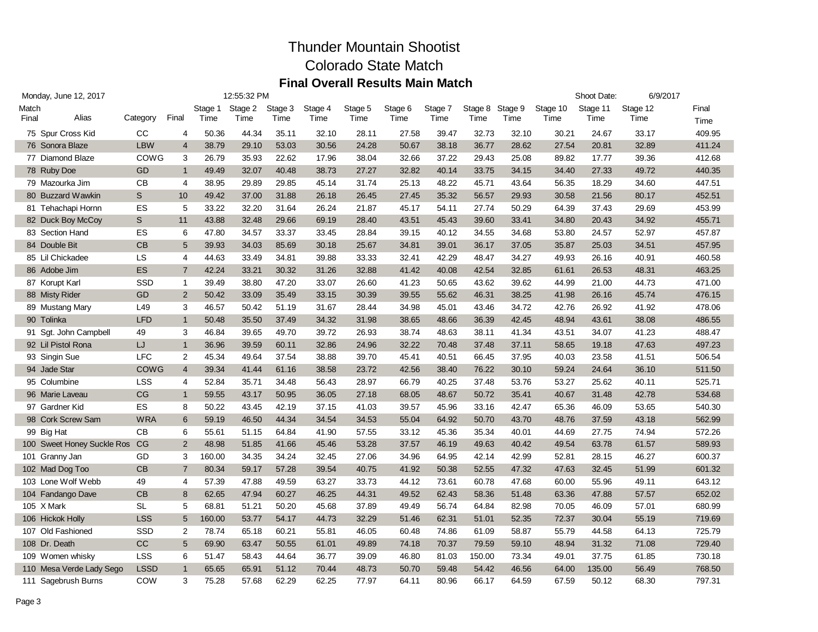| Monday, June 12, 2017 |                               |             |                |         | 12:55:32 PM |         |         |         |         |         |         |         |          | Shoot Date: | 6/9/2017 |        |
|-----------------------|-------------------------------|-------------|----------------|---------|-------------|---------|---------|---------|---------|---------|---------|---------|----------|-------------|----------|--------|
| Match                 |                               |             |                | Stage 1 | Stage 2     | Stage 3 | Stage 4 | Stage 5 | Stage 6 | Stage 7 | Stage 8 | Stage 9 | Stage 10 | Stage 11    | Stage 12 | Final  |
| Final                 | Alias                         | Category    | Final          | Time    | Time        | Time    | Time    | Time    | Time    | Time    | Time    | Time    | Time     | Time        | Time     | Time   |
|                       | 75 Spur Cross Kid             | CC          | $\overline{4}$ | 50.36   | 44.34       | 35.11   | 32.10   | 28.11   | 27.58   | 39.47   | 32.73   | 32.10   | 30.21    | 24.67       | 33.17    | 409.95 |
|                       | 76 Sonora Blaze               | <b>LBW</b>  | $\overline{4}$ | 38.79   | 29.10       | 53.03   | 30.56   | 24.28   | 50.67   | 38.18   | 36.77   | 28.62   | 27.54    | 20.81       | 32.89    | 411.24 |
|                       | 77 Diamond Blaze              | COWG        | 3              | 26.79   | 35.93       | 22.62   | 17.96   | 38.04   | 32.66   | 37.22   | 29.43   | 25.08   | 89.82    | 17.77       | 39.36    | 412.68 |
|                       | 78 Ruby Doe                   | GD          | $\mathbf{1}$   | 49.49   | 32.07       | 40.48   | 38.73   | 27.27   | 32.82   | 40.14   | 33.75   | 34.15   | 34.40    | 27.33       | 49.72    | 440.35 |
|                       | 79 Mazourka Jim               | CB          | $\overline{4}$ | 38.95   | 29.89       | 29.85   | 45.14   | 31.74   | 25.13   | 48.22   | 45.71   | 43.64   | 56.35    | 18.29       | 34.60    | 447.51 |
|                       | 80 Buzzard Wawkin             | S           | 10             | 49.42   | 37.00       | 31.88   | 26.18   | 26.45   | 27.45   | 35.32   | 56.57   | 29.93   | 30.58    | 21.56       | 80.17    | 452.51 |
|                       | 81 Tehachapi Hornn            | ES          | 5              | 33.22   | 32.20       | 31.64   | 26.24   | 21.87   | 45.17   | 54.11   | 27.74   | 50.29   | 64.39    | 37.43       | 29.69    | 453.99 |
|                       | 82 Duck Boy McCoy             | S           | 11             | 43.88   | 32.48       | 29.66   | 69.19   | 28.40   | 43.51   | 45.43   | 39.60   | 33.41   | 34.80    | 20.43       | 34.92    | 455.71 |
|                       | 83 Section Hand               | ES          | 6              | 47.80   | 34.57       | 33.37   | 33.45   | 28.84   | 39.15   | 40.12   | 34.55   | 34.68   | 53.80    | 24.57       | 52.97    | 457.87 |
|                       | 84 Double Bit                 | CB          | 5              | 39.93   | 34.03       | 85.69   | 30.18   | 25.67   | 34.81   | 39.01   | 36.17   | 37.05   | 35.87    | 25.03       | 34.51    | 457.95 |
|                       | 85 Lil Chickadee              | LS          | 4              | 44.63   | 33.49       | 34.81   | 39.88   | 33.33   | 32.41   | 42.29   | 48.47   | 34.27   | 49.93    | 26.16       | 40.91    | 460.58 |
|                       | 86 Adobe Jim                  | <b>ES</b>   | $\overline{7}$ | 42.24   | 33.21       | 30.32   | 31.26   | 32.88   | 41.42   | 40.08   | 42.54   | 32.85   | 61.61    | 26.53       | 48.31    | 463.25 |
|                       | 87 Korupt Karl                | SSD         | $\mathbf{1}$   | 39.49   | 38.80       | 47.20   | 33.07   | 26.60   | 41.23   | 50.65   | 43.62   | 39.62   | 44.99    | 21.00       | 44.73    | 471.00 |
|                       | 88 Misty Rider                | GD          | $\overline{2}$ | 50.42   | 33.09       | 35.49   | 33.15   | 30.39   | 39.55   | 55.62   | 46.31   | 38.25   | 41.98    | 26.16       | 45.74    | 476.15 |
|                       | 89 Mustang Mary               | L49         | 3              | 46.57   | 50.42       | 51.19   | 31.67   | 28.44   | 34.98   | 45.01   | 43.46   | 34.72   | 42.76    | 26.92       | 41.92    | 478.06 |
|                       | 90 Tolinka                    | <b>LFD</b>  | $\mathbf{1}$   | 50.48   | 35.50       | 37.49   | 34.32   | 31.98   | 38.65   | 48.66   | 36.39   | 42.45   | 48.94    | 43.61       | 38.08    | 486.55 |
|                       | 91 Sgt. John Campbell         | 49          | 3              | 46.84   | 39.65       | 49.70   | 39.72   | 26.93   | 38.74   | 48.63   | 38.11   | 41.34   | 43.51    | 34.07       | 41.23    | 488.47 |
|                       | 92 Lil Pistol Rona            | IJ          | $\mathbf{1}$   | 36.96   | 39.59       | 60.11   | 32.86   | 24.96   | 32.22   | 70.48   | 37.48   | 37.11   | 58.65    | 19.18       | 47.63    | 497.23 |
|                       | 93 Singin Sue                 | <b>LFC</b>  | 2              | 45.34   | 49.64       | 37.54   | 38.88   | 39.70   | 45.41   | 40.51   | 66.45   | 37.95   | 40.03    | 23.58       | 41.51    | 506.54 |
|                       | 94 Jade Star                  | <b>COWG</b> | 4              | 39.34   | 41.44       | 61.16   | 38.58   | 23.72   | 42.56   | 38.40   | 76.22   | 30.10   | 59.24    | 24.64       | 36.10    | 511.50 |
|                       | 95 Columbine                  | <b>LSS</b>  | 4              | 52.84   | 35.71       | 34.48   | 56.43   | 28.97   | 66.79   | 40.25   | 37.48   | 53.76   | 53.27    | 25.62       | 40.11    | 525.71 |
|                       | 96 Marie Laveau               | CG          | $\mathbf{1}$   | 59.55   | 43.17       | 50.95   | 36.05   | 27.18   | 68.05   | 48.67   | 50.72   | 35.41   | 40.67    | 31.48       | 42.78    | 534.68 |
|                       | 97 Gardner Kid                | ES          | 8              | 50.22   | 43.45       | 42.19   | 37.15   | 41.03   | 39.57   | 45.96   | 33.16   | 42.47   | 65.36    | 46.09       | 53.65    | 540.30 |
|                       | 98 Cork Screw Sam             | <b>WRA</b>  | 6              | 59.19   | 46.50       | 44.34   | 34.54   | 34.53   | 55.04   | 64.92   | 50.70   | 43.70   | 48.76    | 37.59       | 43.18    | 562.99 |
|                       | 99 Big Hat                    | <b>CB</b>   | 6              | 55.61   | 51.15       | 64.84   | 41.90   | 57.55   | 33.12   | 45.36   | 35.34   | 40.01   | 44.69    | 27.75       | 74.94    | 572.26 |
|                       | 100 Sweet Honey Suckle Ros CG |             | 2              | 48.98   | 51.85       | 41.66   | 45.46   | 53.28   | 37.57   | 46.19   | 49.63   | 40.42   | 49.54    | 63.78       | 61.57    | 589.93 |
|                       | 101 Granny Jan                | GD          | 3              | 160.00  | 34.35       | 34.24   | 32.45   | 27.06   | 34.96   | 64.95   | 42.14   | 42.99   | 52.81    | 28.15       | 46.27    | 600.37 |
|                       | 102 Mad Dog Too               | <b>CB</b>   | $\overline{7}$ | 80.34   | 59.17       | 57.28   | 39.54   | 40.75   | 41.92   | 50.38   | 52.55   | 47.32   | 47.63    | 32.45       | 51.99    | 601.32 |
|                       | 103 Lone Wolf Webb            | 49          | 4              | 57.39   | 47.88       | 49.59   | 63.27   | 33.73   | 44.12   | 73.61   | 60.78   | 47.68   | 60.00    | 55.96       | 49.11    | 643.12 |
|                       | 104 Fandango Dave             | CB          | 8              | 62.65   | 47.94       | 60.27   | 46.25   | 44.31   | 49.52   | 62.43   | 58.36   | 51.48   | 63.36    | 47.88       | 57.57    | 652.02 |
|                       | 105 X Mark                    | <b>SL</b>   | 5              | 68.81   | 51.21       | 50.20   | 45.68   | 37.89   | 49.49   | 56.74   | 64.84   | 82.98   | 70.05    | 46.09       | 57.01    | 680.99 |
|                       | 106 Hickok Holly              | <b>LSS</b>  | 5              | 160.00  | 53.77       | 54.17   | 44.73   | 32.29   | 51.46   | 62.31   | 51.01   | 52.35   | 72.37    | 30.04       | 55.19    | 719.69 |
|                       | 107 Old Fashioned             | SSD         | 2              | 78.74   | 65.18       | 60.21   | 55.81   | 46.05   | 60.48   | 74.86   | 61.09   | 58.87   | 55.79    | 44.58       | 64.13    | 725.79 |
|                       | 108 Dr. Death                 | cc          | 5              | 69.90   | 63.47       | 50.55   | 61.01   | 49.89   | 74.18   | 70.37   | 79.59   | 59.10   | 48.94    | 31.32       | 71.08    | 729.40 |
|                       | 109 Women whisky              | <b>LSS</b>  | 6              | 51.47   | 58.43       | 44.64   | 36.77   | 39.09   | 46.80   | 81.03   | 150.00  | 73.34   | 49.01    | 37.75       | 61.85    | 730.18 |
|                       | 110 Mesa Verde Lady Sego      | <b>LSSD</b> | $\mathbf{1}$   | 65.65   | 65.91       | 51.12   | 70.44   | 48.73   | 50.70   | 59.48   | 54.42   | 46.56   | 64.00    | 135.00      | 56.49    | 768.50 |
|                       | 111 Sagebrush Burns           | COW         | 3              | 75.28   | 57.68       | 62.29   | 62.25   | 77.97   | 64.11   | 80.96   | 66.17   | 64.59   | 67.59    | 50.12       | 68.30    | 797.31 |